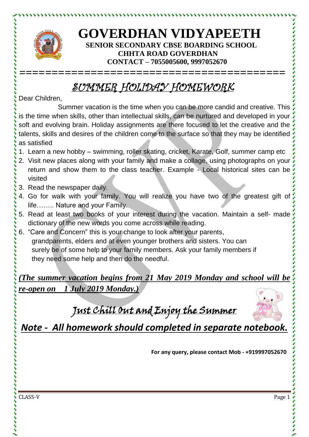

とけけいけいけいけい

## **GOVERDHAN VIDYAPEETH SENIOR SECONDARY CBSE BOARDING SCHOOL CHHTA ROAD GOVERDHAN CONTACT – 7055005600, 9997052670**

## SUMMER HOLIDAY HOMEWORK

**=========================================**

Dear Children,

Summer vacation is the time when you can be more candid and creative. This is the time when skills, other than intellectual skills, can be nurtured and developed in your soft and evolving brain. Holiday assignments are there focused to let the creative and the talents, skills and desires of the children come to the surface so that they may be identified as satisfied

- 1. Learn a new hobby swimming, roller skating, cricket, Karate, Golf, summer camp etc
- 2. Visit new places along with your family and make a collage, using photographs on your return and show them to the class teacher. Example - Local historical sites can be visited
- 3. Read the newspaper daily.
- 4. Go for walk with your family. You will realize you have two of the greatest gift of life…….. Nature and your Family.
- 5. Read at least two books of your interest during the vacation. Maintain a self- made dictionary of the new words you come across while reading.
- 6. "Care and Concern" this is your change to look after your parents, grandparents, elders and at even younger brothers and sisters. You can surely be of some help to your family members. Ask your family members if they need some help and then do the needful.

*(The summer vacation begins from 21 May 2019 Monday and school will be re-open on 1 July 2019 Monday.)*

Just Chill Out and Enjoy the Summer



*Note - All homework should completed in separate notebook.*

**For any query, please contact Mob - +919997052670**

CLASS-V Page 1